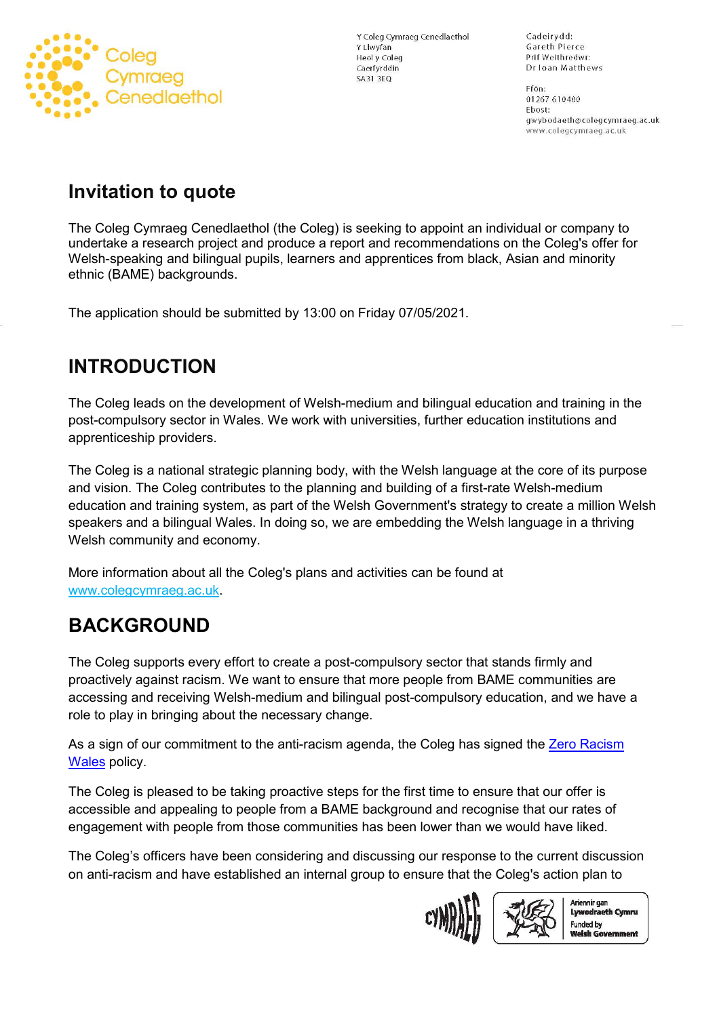

Y Coleg Cymraeg Cenedlaethol Y Llwyfan **Heol y Coleg** Caerfyrddin **SA31 3EQ** 

Cadeirydd: Gareth Pierce Prif Weithredwr: Dr Ioan Matthews

Ffôn: 01267 610400 Ebost: gwybodaeth@colegcymraeg.ac.uk www.colegcymraeg.ac.uk

## **Invitation to quote**

The Coleg Cymraeg Cenedlaethol (the Coleg) is seeking to appoint an individual or company to undertake a research project and produce a report and recommendations on the Coleg's offer for Welsh-speaking and bilingual pupils, learners and apprentices from black, Asian and minority ethnic (BAME) backgrounds.

The application should be submitted by 13:00 on Friday 07/05/2021.

# **INTRODUCTION**

The Coleg leads on the development of Welsh-medium and bilingual education and training in the post-compulsory sector in Wales. We work with universities, further education institutions and apprenticeship providers.

The Coleg is a national strategic planning body, with the Welsh language at the core of its purpose and vision. The Coleg contributes to the planning and building of a first-rate Welsh-medium education and training system, as part of the Welsh Government's strategy to create a million Welsh speakers and a bilingual Wales. In doing so, we are embedding the Welsh language in a thriving Welsh community and economy.

More information about all the Coleg's plans and activities can be found at [www.colegcymraeg.ac.uk.](http://www.colegcymraeg.ac.uk/en/)

# **BACKGROUND**

The Coleg supports every effort to create a post-compulsory sector that stands firmly and proactively against racism. We want to ensure that more people from BAME communities are accessing and receiving Welsh-medium and bilingual post-compulsory education, and we have a role to play in bringing about the necessary change.

As a sign of our commitment to the anti-racism agenda, the Coleg has signed the Zero Racism [Wales](https://zeroracismwales.co.uk/) policy.

The Coleg is pleased to be taking proactive steps for the first time to ensure that our offer is accessible and appealing to people from a BAME background and recognise that our rates of engagement with people from those communities has been lower than we would have liked.

The Coleg's officers have been considering and discussing our response to the current discussion on anti-racism and have established an internal group to ensure that the Coleg's action plan to





Ariennir gan Lywodraeth Cymru **Funded by Welsh Government**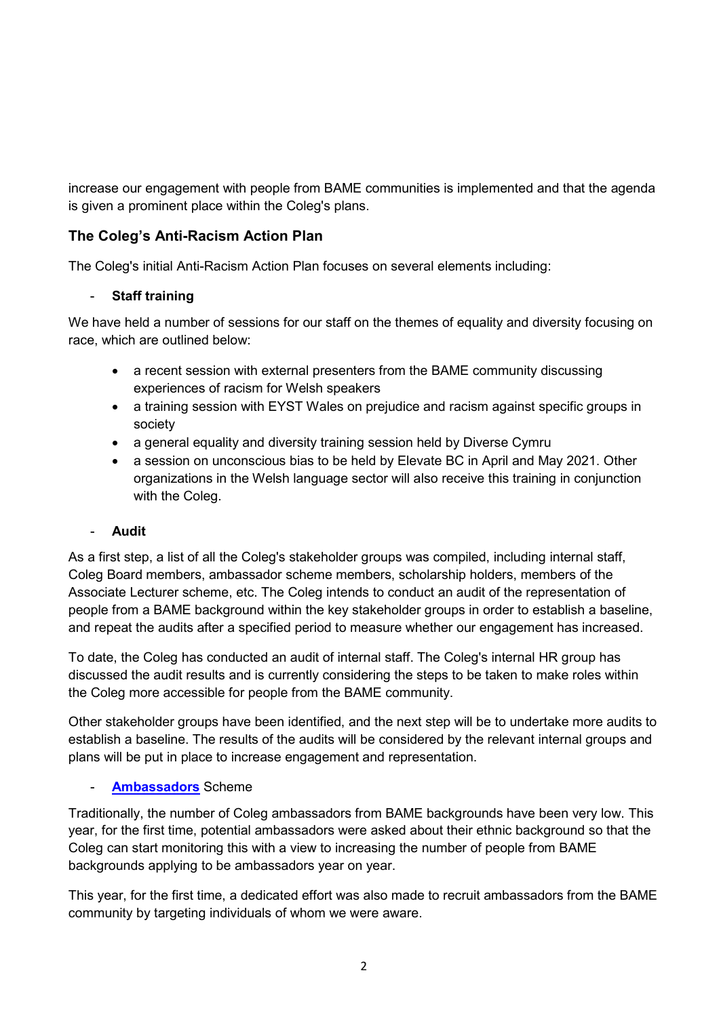increase our engagement with people from BAME communities is implemented and that the agenda is given a prominent place within the Coleg's plans.

### **The Coleg's Anti-Racism Action Plan**

The Coleg's initial Anti-Racism Action Plan focuses on several elements including:

### - **Staff training**

We have held a number of sessions for our staff on the themes of equality and diversity focusing on race, which are outlined below:

- a recent session with external presenters from the BAME community discussing experiences of racism for Welsh speakers
- a training session with EYST Wales on prejudice and racism against specific groups in society
- a general equality and diversity training session held by Diverse Cymru
- a session on unconscious bias to be held by Elevate BC in April and May 2021. Other organizations in the Welsh language sector will also receive this training in conjunction with the Coleg.

#### - **Audit**

As a first step, a list of all the Coleg's stakeholder groups was compiled, including internal staff, Coleg Board members, ambassador scheme members, scholarship holders, members of the Associate Lecturer scheme, etc. The Coleg intends to conduct an audit of the representation of people from a BAME background within the key stakeholder groups in order to establish a baseline, and repeat the audits after a specified period to measure whether our engagement has increased.

To date, the Coleg has conducted an audit of internal staff. The Coleg's internal HR group has discussed the audit results and is currently considering the steps to be taken to make roles within the Coleg more accessible for people from the BAME community.

Other stakeholder groups have been identified, and the next step will be to undertake more audits to establish a baseline. The results of the audits will be considered by the relevant internal groups and plans will be put in place to increase engagement and representation.

### - **[Ambassadors](http://www.colegcymraeg.ac.uk/en/study/studentambassadors/)** Scheme

Traditionally, the number of Coleg ambassadors from BAME backgrounds have been very low. This year, for the first time, potential ambassadors were asked about their ethnic background so that the Coleg can start monitoring this with a view to increasing the number of people from BAME backgrounds applying to be ambassadors year on year.

This year, for the first time, a dedicated effort was also made to recruit ambassadors from the BAME community by targeting individuals of whom we were aware.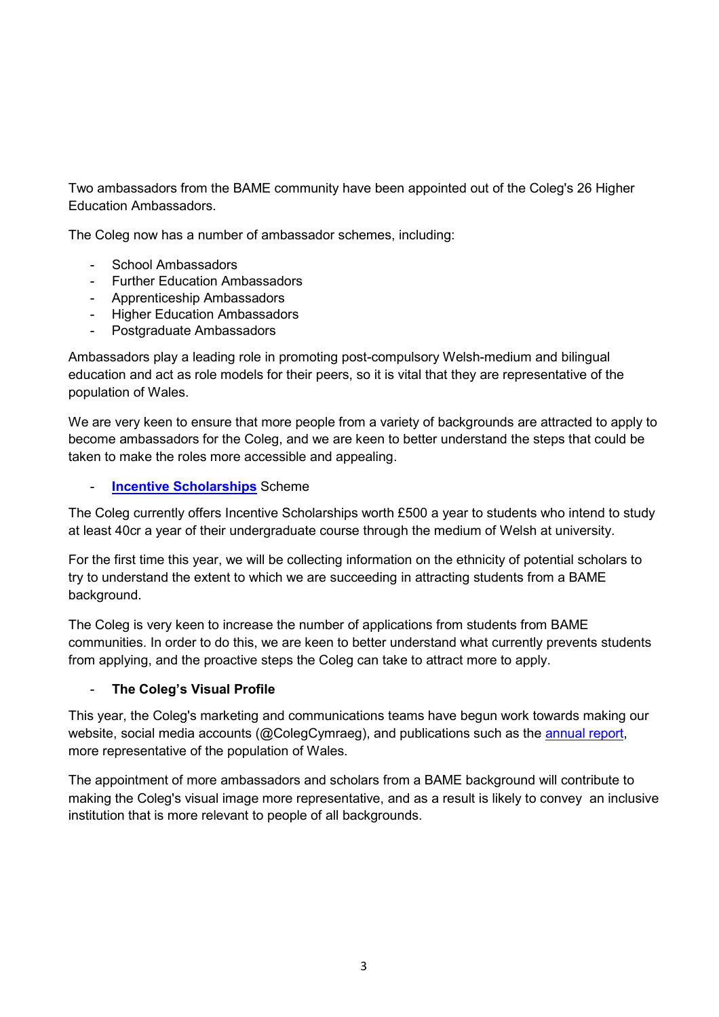Two ambassadors from the BAME community have been appointed out of the Coleg's 26 Higher Education Ambassadors.

The Coleg now has a number of ambassador schemes, including:

- School Ambassadors
- Further Education Ambassadors
- Apprenticeship Ambassadors
- Higher Education Ambassadors
- Postgraduate Ambassadors

Ambassadors play a leading role in promoting post-compulsory Welsh-medium and bilingual education and act as role models for their peers, so it is vital that they are representative of the population of Wales.

We are very keen to ensure that more people from a variety of backgrounds are attracted to apply to become ambassadors for the Coleg, and we are keen to better understand the steps that could be taken to make the roles more accessible and appealing.

#### **[Incentive Scholarships](http://www.colegcymraeg.ac.uk/en/study/financialsupport/incentivescholarship/)** Scheme

The Coleg currently offers Incentive Scholarships worth £500 a year to students who intend to study at least 40cr a year of their undergraduate course through the medium of Welsh at university.

For the first time this year, we will be collecting information on the ethnicity of potential scholars to try to understand the extent to which we are succeeding in attracting students from a BAME background.

The Coleg is very keen to increase the number of applications from students from BAME communities. In order to do this, we are keen to better understand what currently prevents students from applying, and the proactive steps the Coleg can take to attract more to apply.

#### - **The Coleg's Visual Profile**

This year, the Coleg's marketing and communications teams have begun work towards making our website, social media accounts (@ColegCymraeg), and publications such as the [annual report,](http://www.colegcymraeg.ac.uk/en/aboutus/formsanddocuments/annualreport201920/) more representative of the population of Wales.

The appointment of more ambassadors and scholars from a BAME background will contribute to making the Coleg's visual image more representative, and as a result is likely to convey an inclusive institution that is more relevant to people of all backgrounds.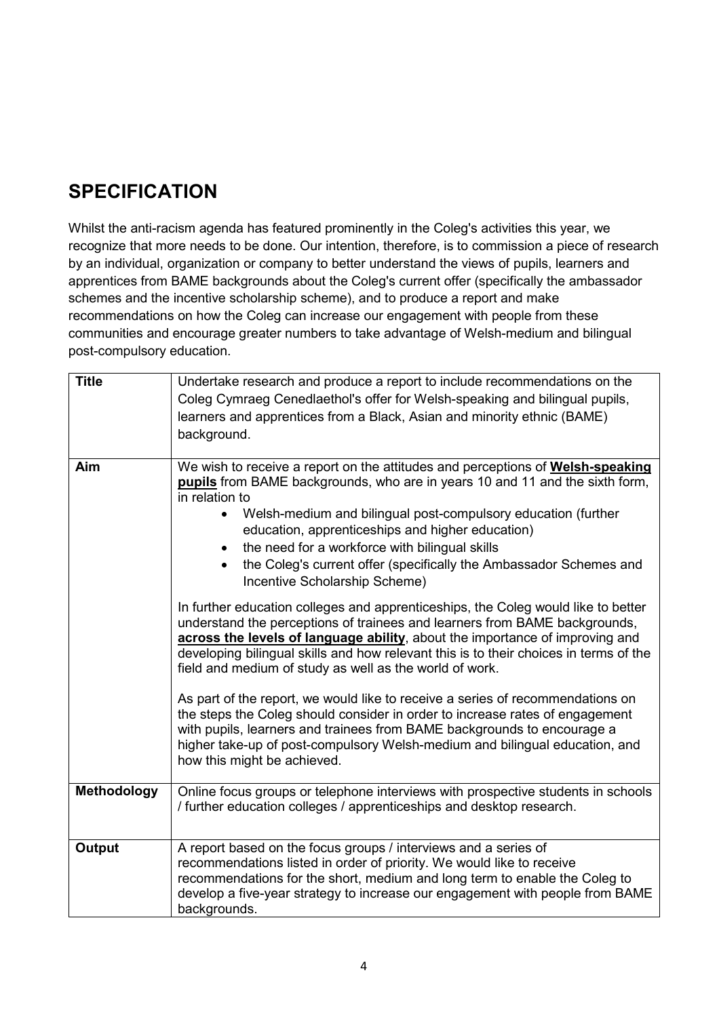# **SPECIFICATION**

Whilst the anti-racism agenda has featured prominently in the Coleg's activities this year, we recognize that more needs to be done. Our intention, therefore, is to commission a piece of research by an individual, organization or company to better understand the views of pupils, learners and apprentices from BAME backgrounds about the Coleg's current offer (specifically the ambassador schemes and the incentive scholarship scheme), and to produce a report and make recommendations on how the Coleg can increase our engagement with people from these communities and encourage greater numbers to take advantage of Welsh-medium and bilingual post-compulsory education.

| <b>Title</b>  | Undertake research and produce a report to include recommendations on the<br>Coleg Cymraeg Cenedlaethol's offer for Welsh-speaking and bilingual pupils,                                                                                                                                                                                                                                                                                                                                                                                                                                                                                                                                                                                                                                                                                                                     |  |  |
|---------------|------------------------------------------------------------------------------------------------------------------------------------------------------------------------------------------------------------------------------------------------------------------------------------------------------------------------------------------------------------------------------------------------------------------------------------------------------------------------------------------------------------------------------------------------------------------------------------------------------------------------------------------------------------------------------------------------------------------------------------------------------------------------------------------------------------------------------------------------------------------------------|--|--|
|               | learners and apprentices from a Black, Asian and minority ethnic (BAME)                                                                                                                                                                                                                                                                                                                                                                                                                                                                                                                                                                                                                                                                                                                                                                                                      |  |  |
|               | background.                                                                                                                                                                                                                                                                                                                                                                                                                                                                                                                                                                                                                                                                                                                                                                                                                                                                  |  |  |
| Aim           | We wish to receive a report on the attitudes and perceptions of Welsh-speaking<br><b>pupils</b> from BAME backgrounds, who are in years 10 and 11 and the sixth form,<br>in relation to<br>Welsh-medium and bilingual post-compulsory education (further<br>education, apprenticeships and higher education)<br>the need for a workforce with bilingual skills<br>the Coleg's current offer (specifically the Ambassador Schemes and<br>Incentive Scholarship Scheme)<br>In further education colleges and apprenticeships, the Coleg would like to better<br>understand the perceptions of trainees and learners from BAME backgrounds,<br>across the levels of language ability, about the importance of improving and<br>developing bilingual skills and how relevant this is to their choices in terms of the<br>field and medium of study as well as the world of work. |  |  |
|               |                                                                                                                                                                                                                                                                                                                                                                                                                                                                                                                                                                                                                                                                                                                                                                                                                                                                              |  |  |
|               | As part of the report, we would like to receive a series of recommendations on<br>the steps the Coleg should consider in order to increase rates of engagement<br>with pupils, learners and trainees from BAME backgrounds to encourage a<br>higher take-up of post-compulsory Welsh-medium and bilingual education, and<br>how this might be achieved.                                                                                                                                                                                                                                                                                                                                                                                                                                                                                                                      |  |  |
| Methodology   | Online focus groups or telephone interviews with prospective students in schools<br>/ further education colleges / apprenticeships and desktop research.                                                                                                                                                                                                                                                                                                                                                                                                                                                                                                                                                                                                                                                                                                                     |  |  |
| <b>Output</b> | A report based on the focus groups / interviews and a series of<br>recommendations listed in order of priority. We would like to receive<br>recommendations for the short, medium and long term to enable the Coleg to<br>develop a five-year strategy to increase our engagement with people from BAME<br>backgrounds.                                                                                                                                                                                                                                                                                                                                                                                                                                                                                                                                                      |  |  |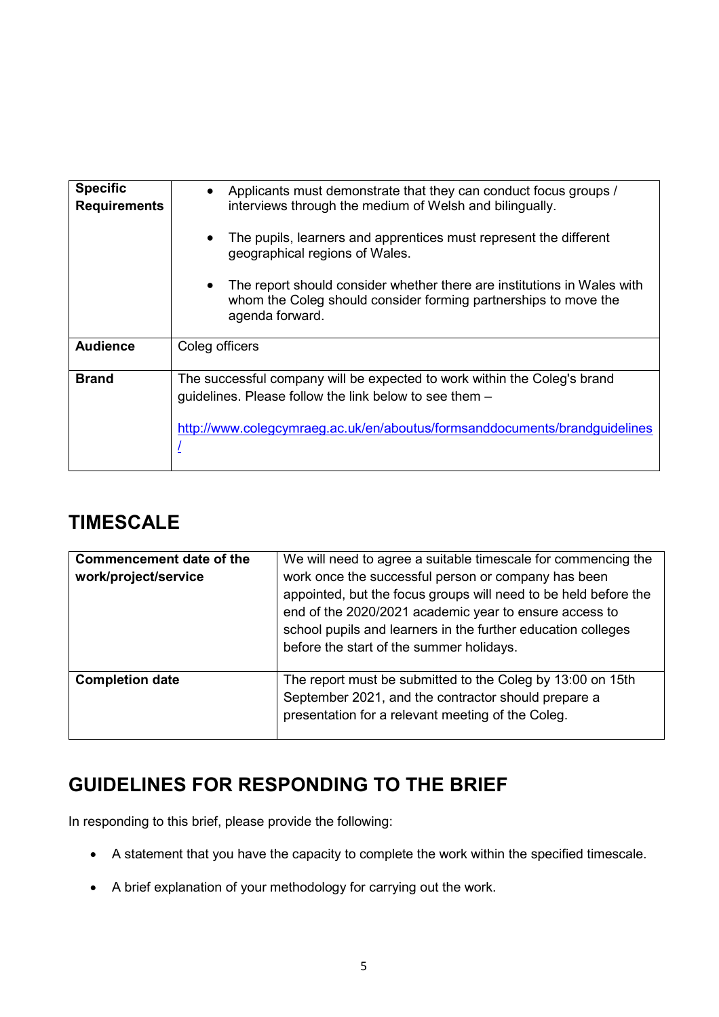| <b>Specific</b><br><b>Requirements</b> | Applicants must demonstrate that they can conduct focus groups /<br>$\bullet$<br>interviews through the medium of Welsh and bilingually.                                                                         |
|----------------------------------------|------------------------------------------------------------------------------------------------------------------------------------------------------------------------------------------------------------------|
|                                        | The pupils, learners and apprentices must represent the different<br>$\bullet$<br>geographical regions of Wales.                                                                                                 |
|                                        | The report should consider whether there are institutions in Wales with<br>$\bullet$<br>whom the Coleg should consider forming partnerships to move the<br>agenda forward.                                       |
| <b>Audience</b>                        | Coleg officers                                                                                                                                                                                                   |
| <b>Brand</b>                           | The successful company will be expected to work within the Coleg's brand<br>guidelines. Please follow the link below to see them -<br>http://www.colegcymraeg.ac.uk/en/aboutus/formsanddocuments/brandguidelines |

## **TIMESCALE**

| <b>Commencement date of the</b><br>work/project/service | We will need to agree a suitable timescale for commencing the<br>work once the successful person or company has been<br>appointed, but the focus groups will need to be held before the<br>end of the 2020/2021 academic year to ensure access to<br>school pupils and learners in the further education colleges<br>before the start of the summer holidays. |
|---------------------------------------------------------|---------------------------------------------------------------------------------------------------------------------------------------------------------------------------------------------------------------------------------------------------------------------------------------------------------------------------------------------------------------|
| <b>Completion date</b>                                  | The report must be submitted to the Coleg by 13:00 on 15th<br>September 2021, and the contractor should prepare a<br>presentation for a relevant meeting of the Coleg.                                                                                                                                                                                        |

# **GUIDELINES FOR RESPONDING TO THE BRIEF**

In responding to this brief, please provide the following:

- A statement that you have the capacity to complete the work within the specified timescale.
- A brief explanation of your methodology for carrying out the work.